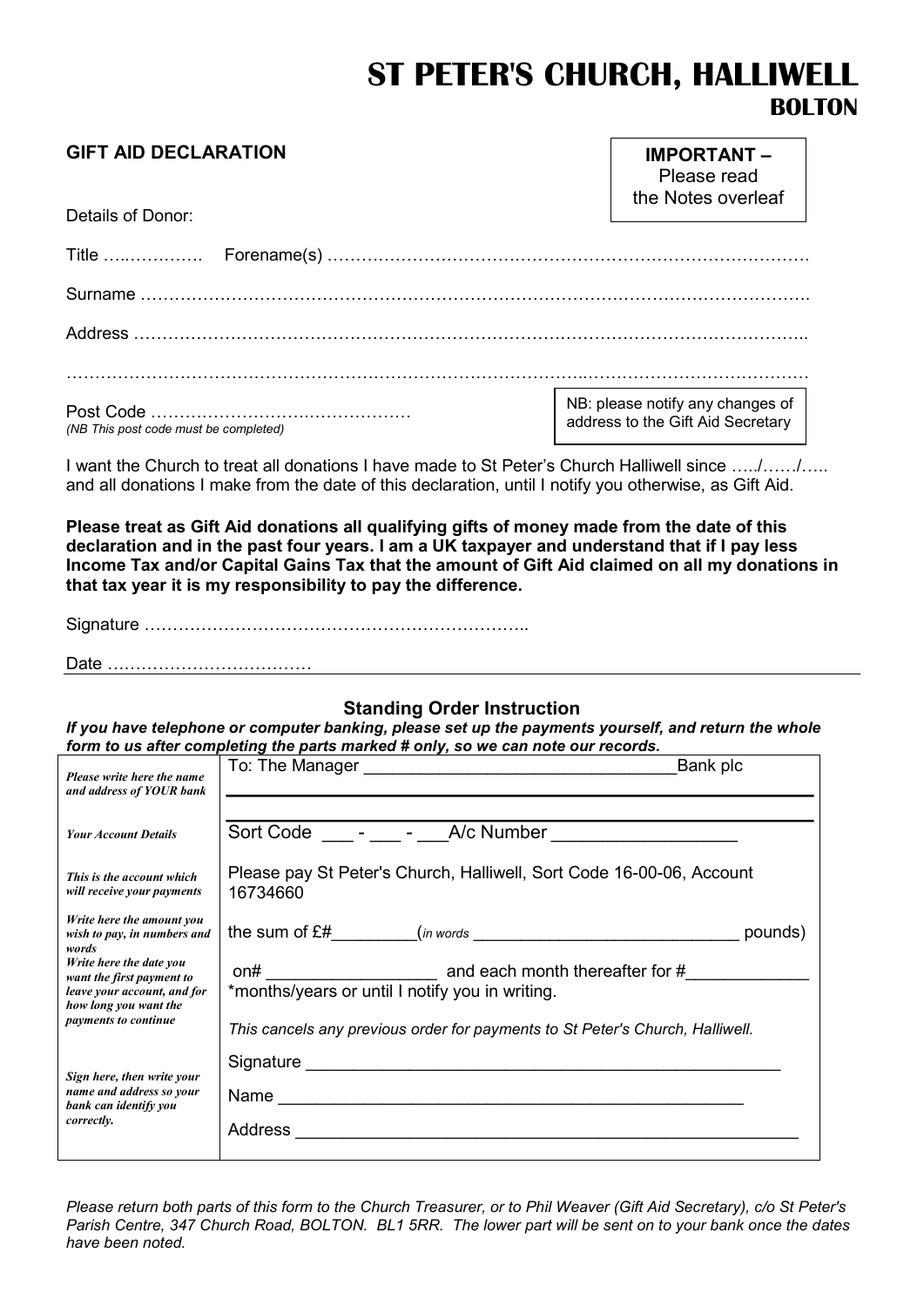# ST PETER'S CHURCH, HALLIWELL BOLTON

| <b>GIFT AID DECLARATION</b><br>Details of Donor: | <b>IMPORTANT-</b><br>Please read<br>the Notes overleaf                |
|--------------------------------------------------|-----------------------------------------------------------------------|
|                                                  |                                                                       |
|                                                  |                                                                       |
|                                                  |                                                                       |
|                                                  |                                                                       |
| (NB This post code must be completed)            | NB: please notify any changes of<br>address to the Gift Aid Secretary |

I want the Church to treat all donations I have made to St Peter's Church Halliwell since …../……/….. and all donations I make from the date of this declaration, until I notify you otherwise, as Gift Aid.

Please treat as Gift Aid donations all qualifying gifts of money made from the date of this declaration and in the past four years. I am a UK taxpayer and understand that if I pay less Income Tax and/or Capital Gains Tax that the amount of Gift Aid claimed on all my donations in that tax year it is my responsibility to pay the difference.

Signature …………………………………………………………..

Date ………………………………

#### Standing Order Instruction

If you have telephone or computer banking, please set up the payments yourself, and return the whole form to us after completing the parts marked # only, so we can note our records.

| Please write here the name<br>and address of YOUR bank                                                                               | Bank plc                                                                                                                                                                                                                       |  |
|--------------------------------------------------------------------------------------------------------------------------------------|--------------------------------------------------------------------------------------------------------------------------------------------------------------------------------------------------------------------------------|--|
|                                                                                                                                      |                                                                                                                                                                                                                                |  |
| <b>Your Account Details</b>                                                                                                          | Sort Code - - - A/c Number                                                                                                                                                                                                     |  |
| This is the account which<br>will receive your payments                                                                              | Please pay St Peter's Church, Halliwell, Sort Code 16-00-06, Account<br>16734660                                                                                                                                               |  |
| Write here the amount you<br>wish to pay, in numbers and<br>words                                                                    | pounds)                                                                                                                                                                                                                        |  |
| Write here the date you<br>want the first payment to<br>leave your account, and for<br>how long you want the<br>payments to continue | *months/years or until I notify you in writing.                                                                                                                                                                                |  |
|                                                                                                                                      | This cancels any previous order for payments to St Peter's Church, Halliwell.                                                                                                                                                  |  |
| Sign here, then write your<br>name and address so your<br>bank can identify you<br>correctly.                                        | Signature Signature Signature Communication of the Communication of the Communication of the Communication of the Communication of the Communication of the Communication of the Communication of the Communication of the Com |  |
|                                                                                                                                      |                                                                                                                                                                                                                                |  |
|                                                                                                                                      | Address<br><u> 1989 - Johann Harry Harry Harry Harry Harry Harry Harry Harry Harry Harry Harry Harry Harry Harry Harry Harry</u>                                                                                               |  |
|                                                                                                                                      |                                                                                                                                                                                                                                |  |

Please return both parts of this form to the Church Treasurer, or to Phil Weaver (Gift Aid Secretary), c/o St Peter's Parish Centre, 347 Church Road, BOLTON. BL1 5RR. The lower part will be sent on to your bank once the dates have been noted.